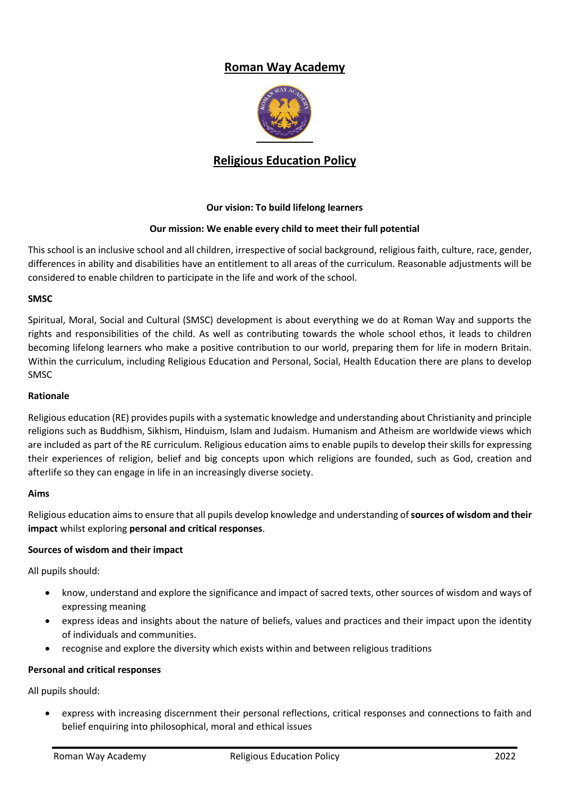# **Roman Way Academy**



## **Religious Education Policy**

## **Our vision: To build lifelong learners**

## **Our mission: We enable every child to meet their full potential**

This school is an inclusive school and all children, irrespective of social background, religious faith, culture, race, gender, differences in ability and disabilities have an entitlement to all areas of the curriculum. Reasonable adjustments will be considered to enable children to participate in the life and work of the school.

## **SMSC**

Spiritual, Moral, Social and Cultural (SMSC) development is about everything we do at Roman Way and supports the rights and responsibilities of the child. As well as contributing towards the whole school ethos, it leads to children becoming lifelong learners who make a positive contribution to our world, preparing them for life in modern Britain. Within the curriculum, including Religious Education and Personal, Social, Health Education there are plans to develop SMSC

#### **Rationale**

Religious education (RE) provides pupils with a systematic knowledge and understanding about Christianity and principle religions such as Buddhism, Sikhism, Hinduism, Islam and Judaism. Humanism and Atheism are worldwide views which are included as part of the RE curriculum. Religious education aims to enable pupils to develop their skills for expressing their experiences of religion, belief and big concepts upon which religions are founded, such as God, creation and afterlife so they can engage in life in an increasingly diverse society.

## **Aims**

Religious education aims to ensure that all pupils develop knowledge and understanding of **sources of wisdom and their impact** whilst exploring **personal and critical responses**.

## **Sources of wisdom and their impact**

All pupils should:

- know, understand and explore the significance and impact of sacred texts, other sources of wisdom and ways of expressing meaning
- express ideas and insights about the nature of beliefs, values and practices and their impact upon the identity of individuals and communities.
- recognise and explore the diversity which exists within and between religious traditions

## **Personal and critical responses**

All pupils should:

 express with increasing discernment their personal reflections, critical responses and connections to faith and belief enquiring into philosophical, moral and ethical issues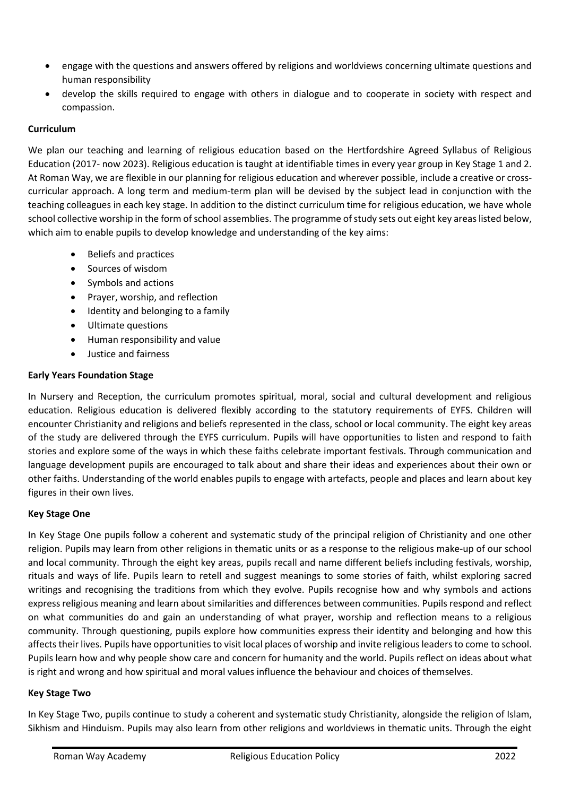- engage with the questions and answers offered by religions and worldviews concerning ultimate questions and human responsibility
- develop the skills required to engage with others in dialogue and to cooperate in society with respect and compassion.

## **Curriculum**

We plan our teaching and learning of religious education based on the Hertfordshire Agreed Syllabus of Religious Education (2017- now 2023). Religious education is taught at identifiable times in every year group in Key Stage 1 and 2. At Roman Way, we are flexible in our planning for religious education and wherever possible, include a creative or crosscurricular approach. A long term and medium-term plan will be devised by the subject lead in conjunction with the teaching colleagues in each key stage. In addition to the distinct curriculum time for religious education, we have whole school collective worship in the form of school assemblies. The programme of study sets out eight key areas listed below, which aim to enable pupils to develop knowledge and understanding of the key aims:

- Beliefs and practices
- Sources of wisdom
- Symbols and actions
- Prayer, worship, and reflection
- Identity and belonging to a family
- Ultimate questions
- Human responsibility and value
- Justice and fairness

## **Early Years Foundation Stage**

In Nursery and Reception, the curriculum promotes spiritual, moral, social and cultural development and religious education. Religious education is delivered flexibly according to the statutory requirements of EYFS. Children will encounter Christianity and religions and beliefs represented in the class, school or local community. The eight key areas of the study are delivered through the EYFS curriculum. Pupils will have opportunities to listen and respond to faith stories and explore some of the ways in which these faiths celebrate important festivals. Through communication and language development pupils are encouraged to talk about and share their ideas and experiences about their own or other faiths. Understanding of the world enables pupils to engage with artefacts, people and places and learn about key figures in their own lives.

## **Key Stage One**

In Key Stage One pupils follow a coherent and systematic study of the principal religion of Christianity and one other religion. Pupils may learn from other religions in thematic units or as a response to the religious make-up of our school and local community. Through the eight key areas, pupils recall and name different beliefs including festivals, worship, rituals and ways of life. Pupils learn to retell and suggest meanings to some stories of faith, whilst exploring sacred writings and recognising the traditions from which they evolve. Pupils recognise how and why symbols and actions express religious meaning and learn about similarities and differences between communities. Pupils respond and reflect on what communities do and gain an understanding of what prayer, worship and reflection means to a religious community. Through questioning, pupils explore how communities express their identity and belonging and how this affects their lives. Pupils have opportunities to visit local places of worship and invite religious leaders to come to school. Pupils learn how and why people show care and concern for humanity and the world. Pupils reflect on ideas about what is right and wrong and how spiritual and moral values influence the behaviour and choices of themselves.

## **Key Stage Two**

In Key Stage Two, pupils continue to study a coherent and systematic study Christianity, alongside the religion of Islam, Sikhism and Hinduism. Pupils may also learn from other religions and worldviews in thematic units. Through the eight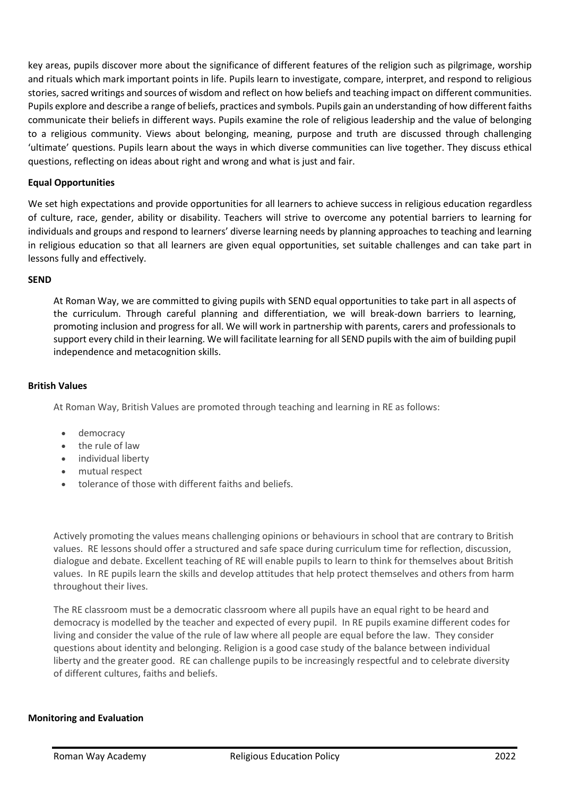key areas, pupils discover more about the significance of different features of the religion such as pilgrimage, worship and rituals which mark important points in life. Pupils learn to investigate, compare, interpret, and respond to religious stories, sacred writings and sources of wisdom and reflect on how beliefs and teaching impact on different communities. Pupils explore and describe a range of beliefs, practices and symbols. Pupils gain an understanding of how different faiths communicate their beliefs in different ways. Pupils examine the role of religious leadership and the value of belonging to a religious community. Views about belonging, meaning, purpose and truth are discussed through challenging 'ultimate' questions. Pupils learn about the ways in which diverse communities can live together. They discuss ethical questions, reflecting on ideas about right and wrong and what is just and fair.

## **Equal Opportunities**

We set high expectations and provide opportunities for all learners to achieve success in religious education regardless of culture, race, gender, ability or disability. Teachers will strive to overcome any potential barriers to learning for individuals and groups and respond to learners' diverse learning needs by planning approaches to teaching and learning in religious education so that all learners are given equal opportunities, set suitable challenges and can take part in lessons fully and effectively.

## **SEND**

At Roman Way, we are committed to giving pupils with SEND equal opportunities to take part in all aspects of the curriculum. Through careful planning and differentiation, we will break-down barriers to learning, promoting inclusion and progress for all. We will work in partnership with parents, carers and professionals to support every child in their learning. We will facilitate learning for all SEND pupils with the aim of building pupil independence and metacognition skills.

## **British Values**

At Roman Way, British Values are promoted through teaching and learning in RE as follows:

- democracy
- the rule of law
- individual liberty
- mutual respect
- tolerance of those with different faiths and beliefs.

Actively promoting the values means challenging opinions or behaviours in school that are contrary to British values. RE lessons should offer a structured and safe space during curriculum time for reflection, discussion, dialogue and debate. Excellent teaching of RE will enable pupils to learn to think for themselves about British values. In RE pupils learn the skills and develop attitudes that help protect themselves and others from harm throughout their lives.

The RE classroom must be a democratic classroom where all pupils have an equal right to be heard and democracy is modelled by the teacher and expected of every pupil. In RE pupils examine different codes for living and consider the value of the rule of law where all people are equal before the law. They consider questions about identity and belonging. Religion is a good case study of the balance between individual liberty and the greater good. RE can challenge pupils to be increasingly respectful and to celebrate diversity of different cultures, faiths and beliefs.

## **Monitoring and Evaluation**